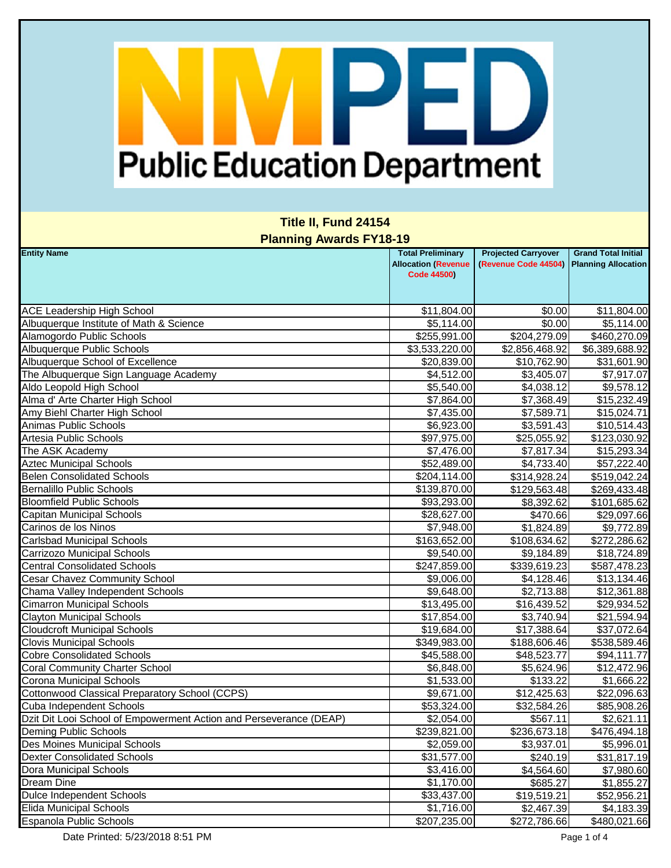### **Title II, Fund 24154 Planning Awards FY18-19**

| <b>Entity Name</b>                                                 | <b>Total Preliminary</b><br><b>Allocation (Revenue</b><br><b>Code 44500)</b> | <b>Projected Carryover</b><br>(Revenue Code 44504) | <b>Grand Total Initial</b><br><b>Planning Allocation</b> |
|--------------------------------------------------------------------|------------------------------------------------------------------------------|----------------------------------------------------|----------------------------------------------------------|
|                                                                    |                                                                              |                                                    |                                                          |
| <b>ACE Leadership High School</b>                                  | \$11,804.00                                                                  | \$0.00                                             | \$11,804.00                                              |
| Albuquerque Institute of Math & Science                            | \$5,114.00                                                                   | \$0.00                                             | \$5,114.00                                               |
| Alamogordo Public Schools                                          | \$255,991.00                                                                 | \$204,279.09                                       | \$460,270.09                                             |
| <b>Albuquerque Public Schools</b>                                  | \$3,533,220.00                                                               | \$2,856,468.92                                     | \$6,389,688.92                                           |
| Albuquerque School of Excellence                                   | \$20,839.00                                                                  | \$10,762.90                                        | \$31,601.90                                              |
| The Albuquerque Sign Language Academy                              | \$4,512.00                                                                   | \$3,405.07                                         | \$7,917.07                                               |
| Aldo Leopold High School                                           | \$5,540.00                                                                   | \$4,038.12                                         | \$9,578.12                                               |
| Alma d' Arte Charter High School                                   | \$7,864.00                                                                   | \$7,368.49                                         | \$15,232.49                                              |
| Amy Biehl Charter High School                                      | \$7,435.00                                                                   | \$7,589.71                                         | \$15,024.71                                              |
| Animas Public Schools                                              | \$6,923.00                                                                   | \$3,591.43                                         | \$10,514.43                                              |
| Artesia Public Schools                                             | \$97,975.00                                                                  | \$25,055.92                                        | \$123,030.92                                             |
| The ASK Academy                                                    | \$7,476.00                                                                   | \$7,817.34                                         | \$15,293.34                                              |
| <b>Aztec Municipal Schools</b>                                     | \$52,489.00                                                                  | \$4,733.40                                         | \$57,222.40                                              |
| <b>Belen Consolidated Schools</b>                                  | \$204,114.00                                                                 | \$314,928.24                                       | \$519,042.24                                             |
| <b>Bernalillo Public Schools</b>                                   | \$139,870.00                                                                 | \$129,563.48                                       | \$269,433.48                                             |
| <b>Bloomfield Public Schools</b>                                   | \$93,293.00                                                                  | \$8,392.62                                         | \$101,685.62                                             |
| <b>Capitan Municipal Schools</b>                                   | \$28,627.00                                                                  | \$470.66                                           | \$29,097.66                                              |
| Carinos de los Ninos                                               | \$7,948.00                                                                   | \$1,824.89                                         | \$9,772.89                                               |
| <b>Carlsbad Municipal Schools</b>                                  | \$163,652.00                                                                 | \$108,634.62                                       | \$272,286.62                                             |
| Carrizozo Municipal Schools                                        | \$9,540.00                                                                   | \$9,184.89                                         | \$18,724.89                                              |
| <b>Central Consolidated Schools</b>                                | \$247,859.00                                                                 | \$339,619.23                                       | \$587,478.23                                             |
| <b>Cesar Chavez Community School</b>                               | \$9,006.00                                                                   | \$4,128.46                                         | \$13,134.46                                              |
| Chama Valley Independent Schools                                   | \$9,648.00                                                                   | \$2,713.88                                         | \$12,361.88                                              |
| <b>Cimarron Municipal Schools</b>                                  | \$13,495.00                                                                  | \$16,439.52                                        | \$29,934.52                                              |
| <b>Clayton Municipal Schools</b>                                   | \$17,854.00                                                                  | \$3,740.94                                         | \$21,594.94                                              |
| <b>Cloudcroft Municipal Schools</b>                                | \$19,684.00                                                                  | \$17,388.64                                        | \$37,072.64                                              |
| <b>Clovis Municipal Schools</b>                                    | \$349,983.00                                                                 | \$188,606.46                                       | \$538,589.46                                             |
| <b>Cobre Consolidated Schools</b>                                  | \$45,588.00                                                                  | \$48,523.77                                        | \$94,111.77                                              |
| <b>Coral Community Charter School</b>                              | \$6,848.00                                                                   | \$5,624.96                                         | \$12,472.96                                              |
| <b>Corona Municipal Schools</b>                                    | \$1,533.00                                                                   | \$133.22                                           | \$1,666.22                                               |
| Cottonwood Classical Preparatory School (CCPS)                     | \$9,671.00                                                                   | \$12,425.63                                        | \$22,096.63                                              |
| Cuba Independent Schools                                           | \$53,324.00                                                                  | \$32,584.26                                        | \$85,908.26                                              |
| Dzit Dit Looi School of Empowerment Action and Perseverance (DEAP) | \$2,054.00                                                                   | \$567.11                                           | \$2,621.11                                               |
| Deming Public Schools                                              | \$239,821.00                                                                 | \$236,673.18                                       | \$476,494.18                                             |
| Des Moines Municipal Schools                                       | \$2,059.00                                                                   | \$3,937.01                                         | \$5,996.01                                               |
| <b>Dexter Consolidated Schools</b>                                 | \$31,577.00                                                                  | \$240.19                                           | \$31,817.19                                              |
| Dora Municipal Schools                                             | \$3,416.00                                                                   | \$4,564.60                                         | \$7,980.60                                               |
| Dream Dine                                                         | \$1,170.00                                                                   | \$685.27                                           | \$1,855.27                                               |
| <b>Dulce Independent Schools</b>                                   | \$33,437.00                                                                  | \$19,519.21                                        | \$52,956.21                                              |
| Elida Municipal Schools                                            | \$1,716.00                                                                   | \$2,467.39                                         | \$4,183.39                                               |
| Espanola Public Schools                                            | \$207,235.00                                                                 | \$272,786.66                                       | \$480,021.66                                             |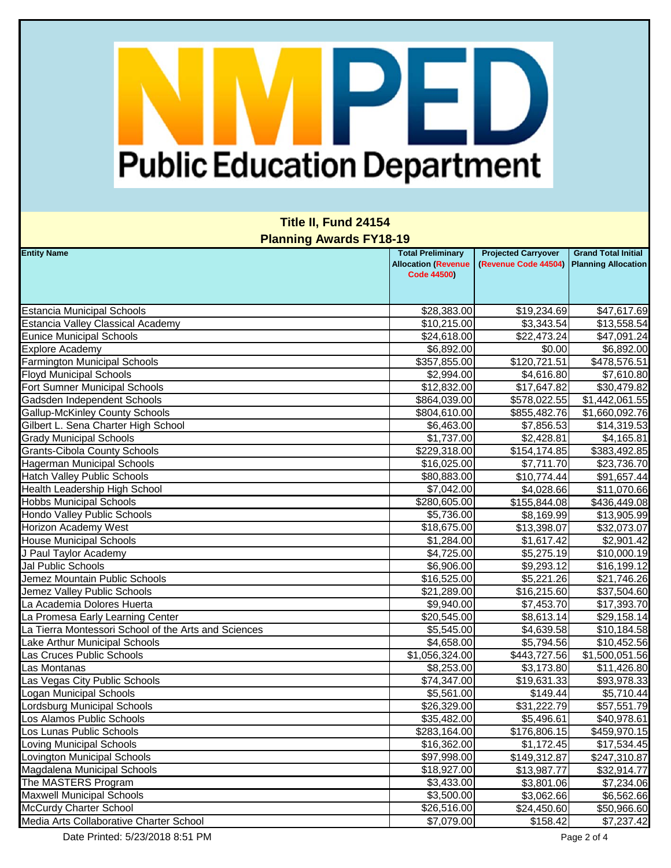### **Title II, Fund 24154 Planning Awards FY18-19**

| <b>Entity Name</b>                                   | <b>Total Preliminary</b><br><b>Allocation (Revenue</b><br><b>Code 44500)</b> | <b>Projected Carryover</b><br>(Revenue Code 44504) | <b>Grand Total Initial</b><br><b>Planning Allocation</b> |
|------------------------------------------------------|------------------------------------------------------------------------------|----------------------------------------------------|----------------------------------------------------------|
|                                                      |                                                                              |                                                    |                                                          |
| <b>Estancia Municipal Schools</b>                    | \$28,383.00                                                                  | \$19,234.69                                        | \$47,617.69                                              |
| <b>Estancia Valley Classical Academy</b>             | \$10,215.00                                                                  | \$3,343.54                                         | \$13,558.54                                              |
| <b>Eunice Municipal Schools</b>                      | \$24,618.00                                                                  | \$22,473.24                                        | \$47,091.24                                              |
| <b>Explore Academy</b>                               | \$6,892.00                                                                   | \$0.00                                             | \$6,892.00                                               |
| <b>Farmington Municipal Schools</b>                  | \$357,855.00                                                                 | \$120,721.51                                       | \$478,576.51                                             |
| <b>Floyd Municipal Schools</b>                       | \$2,994.00                                                                   | \$4,616.80                                         | \$7,610.80                                               |
| Fort Sumner Municipal Schools                        | \$12,832.00                                                                  | \$17,647.82                                        | \$30,479.82                                              |
| Gadsden Independent Schools                          | \$864,039.00                                                                 | \$578,022.55                                       | \$1,442,061.55                                           |
| <b>Gallup-McKinley County Schools</b>                | \$804,610.00                                                                 | \$855,482.76                                       | \$1,660,092.76                                           |
| Gilbert L. Sena Charter High School                  | \$6,463.00                                                                   | \$7,856.53                                         | \$14,319.53                                              |
| <b>Grady Municipal Schools</b>                       | \$1,737.00                                                                   | \$2,428.81                                         | \$4,165.81                                               |
| <b>Grants-Cibola County Schools</b>                  | \$229,318.00                                                                 | \$154,174.85                                       | \$383,492.85                                             |
| <b>Hagerman Municipal Schools</b>                    | \$16,025.00                                                                  | \$7,711.70                                         | \$23,736.70                                              |
| <b>Hatch Valley Public Schools</b>                   | \$80,883.00                                                                  | \$10,774.44                                        | \$91,657.44                                              |
| Health Leadership High School                        | \$7,042.00                                                                   | \$4,028.66                                         | \$11,070.66                                              |
| <b>Hobbs Municipal Schools</b>                       | \$280,605.00                                                                 | \$155,844.08                                       | \$436,449.08                                             |
| Hondo Valley Public Schools                          | \$5,736.00                                                                   | \$8,169.99                                         | \$13,905.99                                              |
| <b>Horizon Academy West</b>                          | \$18,675.00                                                                  | \$13,398.07                                        | \$32,073.07                                              |
| <b>House Municipal Schools</b>                       | \$1,284.00                                                                   | \$1,617.42                                         | \$2,901.42                                               |
| J Paul Taylor Academy                                | \$4,725.00                                                                   | \$5,275.19                                         | \$10,000.19                                              |
| Jal Public Schools                                   | \$6,906.00                                                                   | \$9,293.12                                         | \$16,199.12                                              |
| Jemez Mountain Public Schools                        | \$16,525.00                                                                  | \$5,221.26                                         | \$21,746.26                                              |
| Jemez Valley Public Schools                          | $\overline{$}21,289.00$                                                      | \$16,215.60                                        | \$37,504.60                                              |
| La Academia Dolores Huerta                           | \$9,940.00                                                                   | \$7,453.70                                         | \$17,393.70                                              |
| La Promesa Early Learning Center                     | \$20,545.00                                                                  | \$8,613.14                                         | \$29,158.14                                              |
| La Tierra Montessori School of the Arts and Sciences | \$5,545.00                                                                   | \$4,639.58                                         | \$10,184.58                                              |
| Lake Arthur Municipal Schools                        | \$4,658.00                                                                   | \$5,794.56                                         | \$10,452.56                                              |
| Las Cruces Public Schools                            | \$1,056,324.00                                                               | \$443,727.56                                       | \$1,500,051.56                                           |
| Las Montanas                                         | \$8,253.00                                                                   | \$3,173.80                                         | \$11,426.80                                              |
| Las Vegas City Public Schools                        | \$74,347.00                                                                  | \$19,631.33                                        | \$93,978.33                                              |
| <b>Logan Municipal Schools</b>                       | \$5,561.00                                                                   | \$149.44                                           | \$5,710.44                                               |
| Lordsburg Municipal Schools                          | \$26,329.00                                                                  | \$31,222.79                                        | \$57,551.79                                              |
| Los Alamos Public Schools                            | \$35,482.00                                                                  | \$5,496.61                                         | \$40,978.61                                              |
| Los Lunas Public Schools                             | \$283,164.00                                                                 | \$176,806.15                                       | \$459,970.15                                             |
| <b>Loving Municipal Schools</b>                      | \$16,362.00                                                                  | $\overline{\$1,172.45}$                            | \$17,534.45                                              |
| Lovington Municipal Schools                          | \$97,998.00                                                                  | \$149,312.87                                       | \$247,310.87                                             |
| Magdalena Municipal Schools                          | \$18,927.00                                                                  | \$13,987.77                                        | \$32,914.77                                              |
| The MASTERS Program                                  | \$3,433.00                                                                   | \$3,801.06                                         | \$7,234.06                                               |
| <b>Maxwell Municipal Schools</b>                     | \$3,500.00                                                                   | \$3,062.66                                         | \$6,562.66                                               |
| <b>McCurdy Charter School</b>                        | \$26,516.00                                                                  | \$24,450.60                                        | \$50,966.60                                              |
| Media Arts Collaborative Charter School              | \$7,079.00                                                                   | \$158.42                                           | \$7,237.42                                               |

Date Printed: 5/23/2018 8:51 PM Page 2 of 4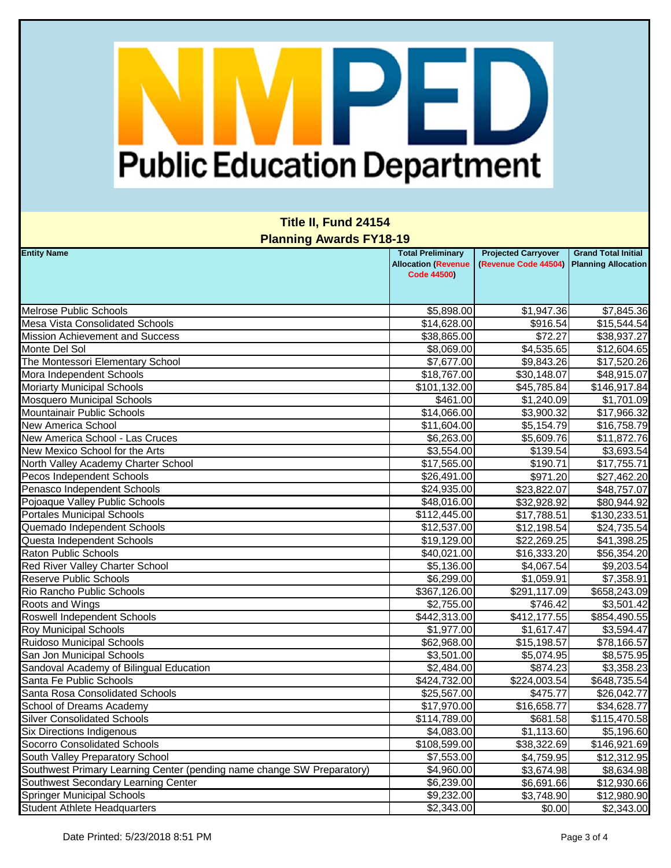### **Title II, Fund 24154 Planning Awards FY18-19**

| <b>Entity Name</b>                                                     | <b>Total Preliminary</b><br><b>Allocation (Revenue</b><br><b>Code 44500)</b> | <b>Projected Carryover</b><br>(Revenue Code 44504) | <b>Grand Total Initial</b><br><b>Planning Allocation</b> |
|------------------------------------------------------------------------|------------------------------------------------------------------------------|----------------------------------------------------|----------------------------------------------------------|
| <b>Melrose Public Schools</b>                                          | \$5,898.00                                                                   | \$1,947.36                                         | \$7,845.36                                               |
| Mesa Vista Consolidated Schools                                        | \$14,628.00                                                                  | \$916.54                                           | \$15,544.54                                              |
| <b>Mission Achievement and Success</b>                                 | \$38,865.00                                                                  | \$72.27                                            | \$38,937.27                                              |
| Monte Del Sol                                                          | \$8,069.00                                                                   | \$4,535.65                                         | \$12,604.65                                              |
| The Montessori Elementary School                                       | \$7,677.00                                                                   | \$9,843.26                                         | \$17,520.26                                              |
| Mora Independent Schools                                               | \$18,767.00                                                                  | \$30,148.07                                        | \$48,915.07                                              |
| <b>Moriarty Municipal Schools</b>                                      | \$101,132.00                                                                 | \$45,785.84                                        | \$146,917.84                                             |
| <b>Mosquero Municipal Schools</b>                                      | \$461.00                                                                     | \$1,240.09                                         | \$1,701.09                                               |
| <b>Mountainair Public Schools</b>                                      | \$14,066.00                                                                  | \$3,900.32                                         | \$17,966.32                                              |
| New America School                                                     | \$11,604.00                                                                  | \$5,154.79                                         | \$16,758.79                                              |
| New America School - Las Cruces                                        | \$6,263.00                                                                   | \$5,609.76                                         | \$11,872.76                                              |
| New Mexico School for the Arts                                         | \$3,554.00                                                                   | \$139.54                                           | \$3,693.54                                               |
| North Valley Academy Charter School                                    | \$17,565.00                                                                  | \$190.71                                           | \$17,755.71                                              |
| Pecos Independent Schools                                              | \$26,491.00                                                                  | \$971.20                                           | \$27,462.20                                              |
| Penasco Independent Schools                                            | \$24,935.00                                                                  | \$23,822.07                                        | \$48,757.07                                              |
| Pojoaque Valley Public Schools                                         | \$48,016.00                                                                  | \$32,928.92                                        | \$80,944.92                                              |
| <b>Portales Municipal Schools</b>                                      | \$112,445.00                                                                 | \$17,788.51                                        | \$130,233.51                                             |
| Quemado Independent Schools                                            | \$12,537.00                                                                  | \$12,198.54                                        | \$24,735.54                                              |
| Questa Independent Schools                                             | \$19,129.00                                                                  | \$22,269.25                                        | \$41,398.25                                              |
| Raton Public Schools                                                   | \$40,021.00                                                                  | \$16,333.20                                        | \$56,354.20                                              |
| Red River Valley Charter School                                        | \$5,136.00                                                                   | \$4,067.54                                         | \$9,203.54                                               |
| <b>Reserve Public Schools</b>                                          | \$6,299.00                                                                   | \$1,059.91                                         | \$7,358.91                                               |
| Rio Rancho Public Schools                                              | \$367,126.00                                                                 | $\overline{$291,117.09}$                           | \$658,243.09                                             |
| Roots and Wings                                                        | \$2,755.00                                                                   | \$746.42                                           | \$3,501.42                                               |
| Roswell Independent Schools                                            | \$442,313.00                                                                 | \$412,177.55                                       | \$854,490.55                                             |
| <b>Roy Municipal Schools</b>                                           | \$1,977.00                                                                   | \$1,617.47                                         | \$3,594.47                                               |
| <b>Ruidoso Municipal Schools</b>                                       | \$62,968.00                                                                  | \$15,198.57                                        | \$78,166.57                                              |
| San Jon Municipal Schools                                              | \$3,501.00                                                                   | \$5,074.95                                         | \$8,575.95                                               |
| Sandoval Academy of Bilingual Education                                | \$2,484.00                                                                   | \$874.23                                           | \$3,358.23                                               |
| Santa Fe Public Schools                                                | \$424,732.00                                                                 | \$224,003.54                                       | \$648,735.54                                             |
| Santa Rosa Consolidated Schools                                        | \$25,567.00                                                                  | \$475.77                                           | \$26,042.77                                              |
| School of Dreams Academy                                               | \$17,970.00                                                                  | \$16,658.77                                        | \$34,628.77                                              |
| <b>Silver Consolidated Schools</b>                                     | \$114,789.00                                                                 | \$681.58                                           | \$115,470.58                                             |
| <b>Six Directions Indigenous</b>                                       | \$4,083.00                                                                   | \$1,113.60                                         | \$5,196.60                                               |
| Socorro Consolidated Schools                                           | \$108,599.00                                                                 | \$38,322.69                                        | \$146,921.69                                             |
| South Valley Preparatory School                                        | \$7,553.00                                                                   | \$4,759.95                                         | \$12,312.95                                              |
| Southwest Primary Learning Center (pending name change SW Preparatory) | \$4,960.00                                                                   | \$3,674.98                                         | \$8,634.98                                               |
| Southwest Secondary Learning Center                                    | \$6,239.00                                                                   | \$6,691.66                                         | \$12,930.66                                              |
| <b>Springer Municipal Schools</b>                                      | \$9,232.00                                                                   | \$3,748.90                                         | \$12,980.90                                              |
| <b>Student Athlete Headquarters</b>                                    | \$2,343.00                                                                   | \$0.00                                             | \$2,343.00                                               |